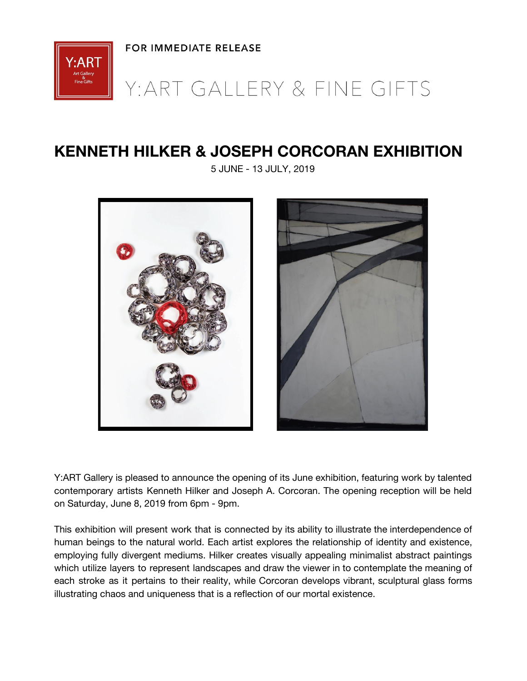

## Y: ART GALLERY & FINE GIFTS

## **KENNETH HILKER & JOSEPH CORCORAN EXHIBITION**

5 JUNE - 13 JULY, 2019





Y:ART Gallery is pleased to announce the opening of its June exhibition, featuring work by talented contemporary artists Kenneth Hilker and Joseph A. Corcoran. The opening reception will be held on Saturday, June 8, 2019 from 6pm - 9pm.

This exhibition will present work that is connected by its ability to illustrate the interdependence of human beings to the natural world. Each artist explores the relationship of identity and existence, employing fully divergent mediums. Hilker creates visually appealing minimalist abstract paintings which utilize layers to represent landscapes and draw the viewer in to contemplate the meaning of each stroke as it pertains to their reality, while Corcoran develops vibrant, sculptural glass forms illustrating chaos and uniqueness that is a reflection of our mortal existence.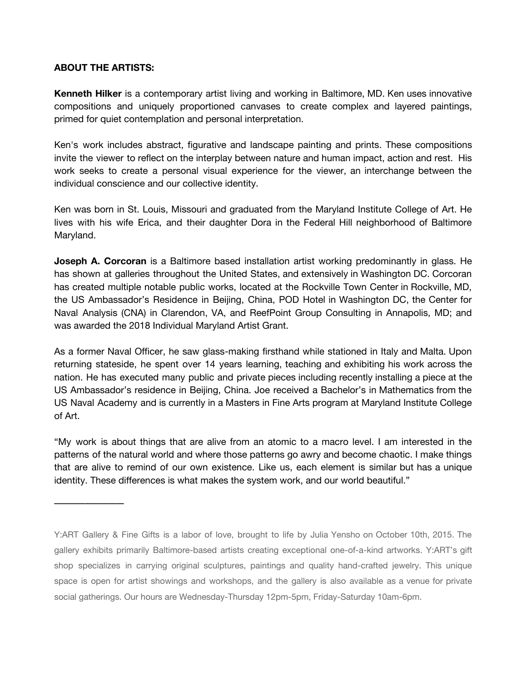## **ABOUT THE ARTISTS:**

\_\_\_\_\_\_\_\_\_

**Kenneth Hilker** is a contemporary artist living and working in Baltimore, MD. Ken uses innovative compositions and uniquely proportioned canvases to create complex and layered paintings, primed for quiet contemplation and personal interpretation.

Ken's work includes abstract, figurative and landscape painting and prints. These compositions invite the viewer to reflect on the interplay between nature and human impact, action and rest. His work seeks to create a personal visual experience for the viewer, an interchange between the individual conscience and our collective identity.

Ken was born in St. Louis, Missouri and graduated from the Maryland Institute College of Art. He lives with his wife Erica, and their daughter Dora in the Federal Hill neighborhood of Baltimore Maryland.

**Joseph A. Corcoran** is a Baltimore based installation artist working predominantly in glass. He has shown at galleries throughout the United States, and extensively in Washington DC. Corcoran has created multiple notable public works, located at the Rockville Town Center in Rockville, MD, the US Ambassador's Residence in Beijing, China, POD Hotel in Washington DC, the Center for Naval Analysis (CNA) in Clarendon, VA, and ReefPoint Group Consulting in Annapolis, MD; and was awarded the 2018 Individual Maryland Artist Grant.

As a former Naval Officer, he saw glass-making firsthand while stationed in Italy and Malta. Upon returning stateside, he spent over 14 years learning, teaching and exhibiting his work across the nation. He has executed many public and private pieces including recently installing a piece at the US Ambassador's residence in Beijing, China. Joe received a Bachelor's in Mathematics from the US Naval Academy and is currently in a Masters in Fine Arts program at Maryland Institute College of Art.

"My work is about things that are alive from an atomic to a macro level. I am interested in the patterns of the natural world and where those patterns go awry and become chaotic. I make things that are alive to remind of our own existence. Like us, each element is similar but has a unique identity. These differences is what makes the system work, and our world beautiful."

Y:ART Gallery & Fine Gifts is a labor of love, brought to life by Julia Yensho on October 10th, 2015. The gallery exhibits primarily Baltimore-based artists creating exceptional one-of-a-kind artworks. Y:ART's gift shop specializes in carrying original sculptures, paintings and quality hand-crafted jewelry. This unique space is open for artist showings and workshops, and the gallery is also available as a venue for private social gatherings. Our hours are Wednesday-Thursday 12pm-5pm, Friday-Saturday 10am-6pm.